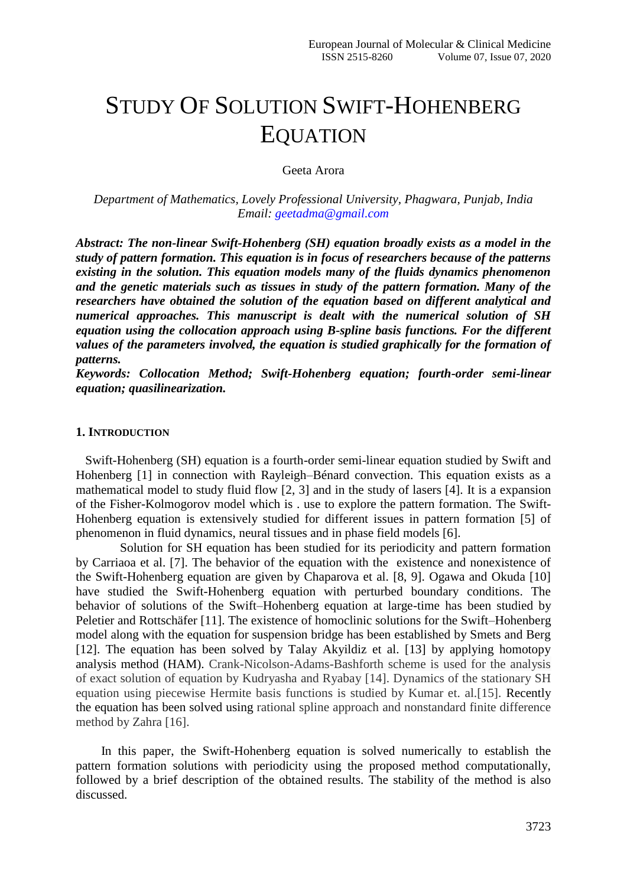# STUDY OF SOLUTION SWIFT-HOHENBERG EQUATION

Geeta Arora

*Department of Mathematics, Lovely Professional University, Phagwara, Punjab, India Email: [geetadma@gmail.com](mailto:geetadma@gmail.com)*

*Abstract: The non-linear Swift-Hohenberg (SH) equation broadly exists as a model in the study of pattern formation. This equation is in focus of researchers because of the patterns existing in the solution. This equation models many of the fluids dynamics phenomenon and the genetic materials such as tissues in study of the pattern formation. Many of the researchers have obtained the solution of the equation based on different analytical and numerical approaches. This manuscript is dealt with the numerical solution of SH equation using the collocation approach using B-spline basis functions. For the different values of the parameters involved, the equation is studied graphically for the formation of patterns.*

*Keywords: Collocation Method; Swift-Hohenberg equation; fourth-order semi-linear equation; quasilinearization.*

## **1. INTRODUCTION**

 Swift-Hohenberg (SH) equation is a fourth-order semi-linear equation studied by Swift and Hohenberg [1] in connection with Rayleigh–Bénard convection. This equation exists as a mathematical model to study fluid flow [2, 3] and in the study of lasers [4]. It is a expansion of the Fisher-Kolmogorov model which is . use to explore the pattern formation. The Swift-Hohenberg equation is extensively studied for different issues in pattern formation [5] of phenomenon in fluid dynamics, [neural](http://www.scholarpedia.org/article/Neuron) tissues and in phase field models [6].

 Solution for SH equation has been studied for its periodicity and pattern formation by Carriaoa et al. [7]. The behavior of the equation with the existence and nonexistence of the Swift-Hohenberg equation are given by Chaparova et al. [8, 9]. Ogawa and Okuda [10] have studied the Swift-Hohenberg equation with perturbed boundary conditions. The behavior of solutions of the Swift–Hohenberg equation at large-time has been studied by Peletier and Rottschäfer [11]. The existence of homoclinic solutions for the Swift–Hohenberg model along with the equation for suspension bridge has been established by Smets and Berg [12]. The equation has been solved by Talay Akyildiz et al. [13] by applying homotopy analysis method (HAM). Crank-Nicolson-Adams-Bashforth scheme is used for the analysis of exact solution of equation by Kudryasha and Ryabay [14]. Dynamics of the stationary SH equation using piecewise Hermite basis functions is studied by Kumar et. al.[15]. Recently the equation has been solved using rational spline approach and nonstandard finite difference method by Zahra [16].

 In this paper, the Swift-Hohenberg equation is solved numerically to establish the pattern formation solutions with periodicity using the proposed method computationally, followed by a brief description of the obtained results. The stability of the method is also discussed.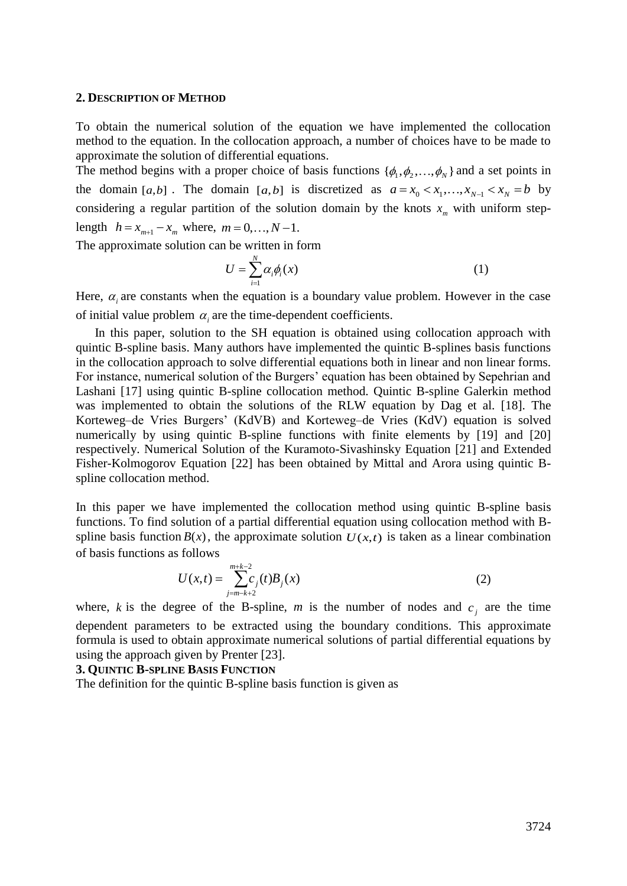#### **2. DESCRIPTION OF METHOD**

To obtain the numerical solution of the equation we have implemented the collocation method to the equation. In the collocation approach, a number of choices have to be made to approximate the solution of differential equations.

The method begins with a proper choice of basis functions  $\{\phi_1, \phi_2, ..., \phi_N\}$  and a set points in the domain [a,b]. The domain [a,b] is discretized as  $a = x_0 < x_1, ..., x_{N-1} < x_N = b$  by considering a regular partition of the solution domain by the knots  $x_m$  with uniform steplength  $h = x_{m+1} - x_m$  where,  $m = 0, ..., N-1$ .

The approximate solution can be written in form

$$
U = \sum_{i=1}^{N} \alpha_i \phi_i(x) \tag{1}
$$

Here,  $\alpha$  are constants when the equation is a boundary value problem. However in the case of initial value problem  $\alpha_i$  are the time-dependent coefficients.

 In this paper, solution to the SH equation is obtained using collocation approach with quintic B-spline basis. Many authors have implemented the quintic B-splines basis functions in the collocation approach to solve differential equations both in linear and non linear forms. For instance, numerical solution of the Burgers' equation has been obtained by Sepehrian and Lashani [17] using quintic B-spline collocation method. Quintic B-spline Galerkin method was implemented to obtain the solutions of the RLW equation by Dag et al. [18]. The Korteweg–de Vries Burgers' (KdVB) and Korteweg–de Vries (KdV) equation is solved numerically by using quintic B-spline functions with finite elements by [19] and [20] respectively. Numerical Solution of the Kuramoto-Sivashinsky Equation [21] and Extended Fisher-Kolmogorov Equation [22] has been obtained by Mittal and Arora using quintic Bspline collocation method.

In this paper we have implemented the collocation method using quintic B-spline basis functions. To find solution of a partial differential equation using collocation method with Bspline basis function  $B(x)$ , the approximate solution  $U(x,t)$  is taken as a linear combination of basis functions as follows

$$
U(x,t) = \sum_{j=m-k+2}^{m+k-2} c_j(t) B_j(x)
$$
 (2)

where, *k* is the degree of the B-spline, *m* is the number of nodes and  $c_j$  are the time dependent parameters to be extracted using the boundary conditions. This approximate formula is used to obtain approximate numerical solutions of partial differential equations by using the approach given by Prenter [23].

## **3. QUINTIC B-SPLINE BASIS FUNCTION**

The definition for the quintic B-spline basis function is given as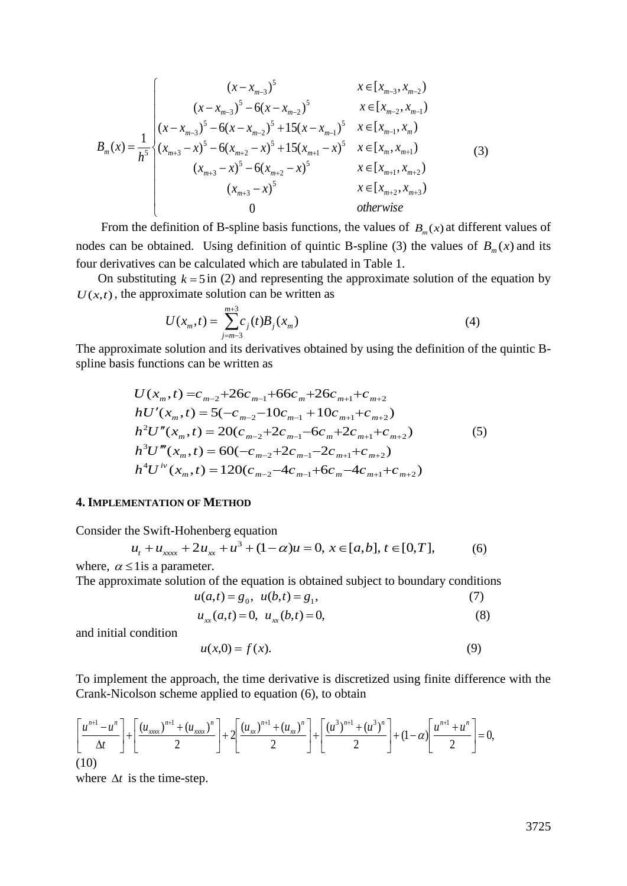$$
B_{m}(x) = \frac{1}{h^{5}} \begin{cases} (x - x_{m-3})^{5} & x \in [x_{m-3}, x_{m-2}) \\ (x - x_{m-3})^{5} - 6(x - x_{m-2})^{5} & x \in [x_{m-2}, x_{m-1}) \\ (x - x_{m-3})^{5} - 6(x - x_{m-2})^{5} + 15(x - x_{m-1})^{5} & x \in [x_{m-1}, x_{m}) \\ (x_{m+3} - x)^{5} - 6(x_{m+2} - x)^{5} + 15(x_{m+1} - x)^{5} & x \in [x_{m}, x_{m+1}) \\ (x_{m+3} - x)^{5} - 6(x_{m+2} - x)^{5} & x \in [x_{m+1}, x_{m+2}) \\ (x_{m+3} - x)^{5} & x \in [x_{m+2}, x_{m+3}) \\ 0 & \text{otherwise} \end{cases}
$$
(3)

From the definition of B-spline basis functions, the values of  $B_m(x)$  at different values of nodes can be obtained. Using definition of quintic B-spline (3) the values of  $B_m(x)$  and its four derivatives can be calculated which are tabulated in Table 1.

On substituting  $k = 5$  in (2) and representing the approximate solution of the equation by  $U(x,t)$ , the approximate solution can be written as

$$
U(x_m, t) = \sum_{j=m-3}^{m+3} c_j(t) B_j(x_m)
$$
 (4)

The approximate solution and its derivatives obtained by using the definition of the quintic Bspline basis functions can be written as

$$
U(x_m, t) = c_{m-2} + 26c_{m-1} + 66c_m + 26c_{m+1} + c_{m+2}
$$
  
\n
$$
hU'(x_m, t) = 5(-c_{m-2} - 10c_{m-1} + 10c_{m+1} + c_{m+2})
$$
  
\n
$$
h^2U''(x_m, t) = 20(c_{m-2} + 2c_{m-1} - 6c_m + 2c_{m+1} + c_{m+2})
$$
  
\n
$$
h^3U'''(x_m, t) = 60(-c_{m-2} + 2c_{m-1} - 2c_{m+1} + c_{m+2})
$$
  
\n
$$
h^4U^{iv}(x_m, t) = 120(c_{m-2} - 4c_{m-1} + 6c_m - 4c_{m+1} + c_{m+2})
$$
\n(5)

### **4. IMPLEMENTATION OF METHOD**

Consider the Swift-Hohenberg equation

$$
u_t + u_{xxx} + 2u_{xx} + u^3 + (1 - \alpha)u = 0, \ x \in [a, b], \ t \in [0, T],
$$
 (6)  
where,  $\alpha \le 1$  is a parameter.

The approximate solution of the equation is obtained subject to boundary conditions

$$
u(a,t) = g_0, \ \ u(b,t) = g_1,\tag{7}
$$

$$
u_{xx}(a,t) = 0, u_{xx}(b,t) = 0,
$$
\n(8)

and initial condition

$$
u(x,0) = f(x). \tag{9}
$$

To implement the approach, the time derivative is discretized using finite difference with the Crank-Nicolson scheme applied to equation (6), to obtain

$$
\left[\frac{u^{n+1}-u^n}{\Delta t}\right]+\left[\frac{(u_{xxxx})^{n+1}+(u_{xxxx})^n}{2}\right]+\left[\frac{(u_{xx})^{n+1}+(u_{xx})^n}{2}\right]+\left[\frac{(u^3)^{n+1}+(u^3)^n}{2}\right]+(1-\alpha)\left[\frac{u^{n+1}+u^n}{2}\right]=0,
$$
\n(10)

where  $\Delta t$  is the time-step.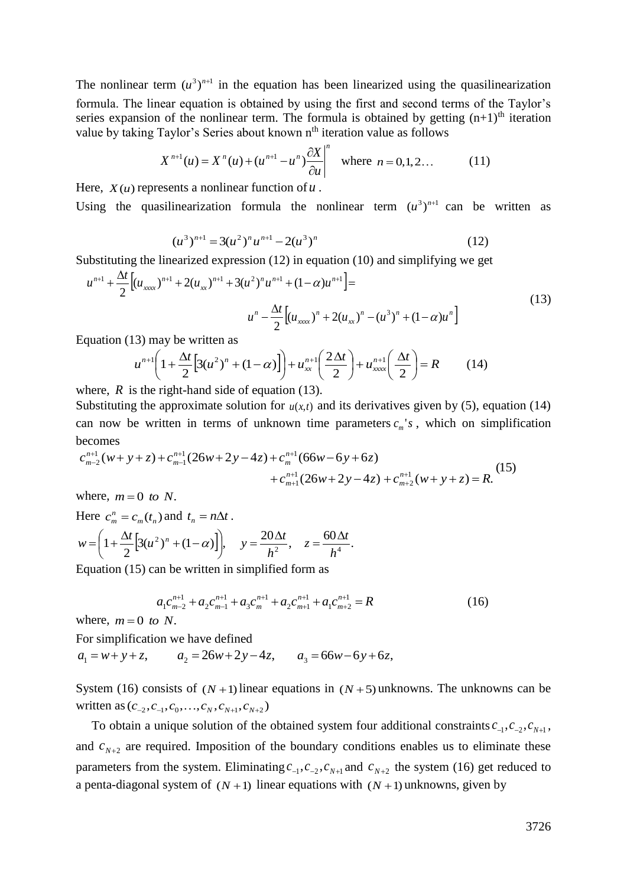The nonlinear term  $(u^3)^{n+1}$  in the equation has been linearized using the quasilinearization formula. The linear equation is obtained by using the first and second terms of the Taylor's series expansion of the nonlinear term. The formula is obtained by getting  $(n+1)$ <sup>th</sup> iteration value by taking Taylor's Series about known n<sup>th</sup> iteration value as follows

$$
X^{n+1}(u) = X^n(u) + (u^{n+1} - u^n) \frac{\partial X}{\partial u}\Big|^{n} \quad \text{where } n = 0, 1, 2... \tag{11}
$$

Here,  $X(u)$  represents a nonlinear function of  $u$ .

Using the quasilinearization formula the nonlinear term  $(u^3)^{n+1}$  can be written as

$$
(u3)n+1 = 3(u2)n un+1 - 2(u3)n
$$
 (12)

Substituting the linearized expression (12) in equation (10) and simplifying we get

$$
u^{n+1} + \frac{\Delta t}{2} \Big[ (u_{xxx})^{n+1} + 2(u_{xx})^{n+1} + 3(u^2)^n u^{n+1} + (1 - \alpha) u^{n+1} \Big] =
$$
  

$$
u^n - \frac{\Delta t}{2} \Big[ (u_{xxx})^n + 2(u_{xx})^n - (u^3)^n + (1 - \alpha) u^n \Big]
$$
 (13)

Equation (13) may be written as

$$
u^{n+1}\left(1+\frac{\Delta t}{2}\left[3(u^2)^n+(1-\alpha)\right]\right)+u_{xx}^{n+1}\left(\frac{2\Delta t}{2}\right)+u_{xxxx}^{n+1}\left(\frac{\Delta t}{2}\right)=R
$$
 (14)

where,  $R$  is the right-hand side of equation (13).

Substituting the approximate solution for  $u(x,t)$  and its derivatives given by (5), equation (14) can now be written in terms of unknown time parameters  $c_m$ 's, which on simplification becomes

$$
c_{m-2}^{n+1}(w+y+z) + c_{m-1}^{n+1}(26w+2y-4z) + c_m^{n+1}(66w-6y+6z) + c_{m+1}^{n+1}(26w+2y-4z) + c_{m+2}^{n+1}(w+y+z) = R.
$$
 (15)

where,  $m = 0$  to N.

Here 
$$
c_m^n = c_m(t_n)
$$
 and  $t_n = n\Delta t$ .  
\n
$$
w = \left(1 + \frac{\Delta t}{2} \left[3(u^2)^n + (1 - \alpha)\right]\right), \quad y = \frac{20\Delta t}{h^2}, \quad z = \frac{60\Delta t}{h^4}.
$$

Equation (15) can be written in simplified form as

$$
a_1 c_{m-2}^{n+1} + a_2 c_{m-1}^{n+1} + a_3 c_m^{n+1} + a_2 c_{m+1}^{n+1} + a_1 c_{m+2}^{n+1} = R
$$
 (16)

where,  $m = 0$  to N.

For simplification we have defined

 $a_1 = w + y + z$ ,  $a_2 = 26w + 2y - 4z$ ,  $a_3 = 66w - 6y + 6z$ ,

System (16) consists of  $(N+1)$  linear equations in  $(N+5)$  unknowns. The unknowns can be written as  $(c_{-2}, c_{-1}, c_0, \ldots, c_N, c_{N+1}, c_{N+2})$ 

To obtain a unique solution of the obtained system four additional constraints  $c_{-1}$ ,  $c_{-2}$ ,  $c_{N+1}$ , and  $c_{N+2}$  are required. Imposition of the boundary conditions enables us to eliminate these parameters from the system. Eliminating  $c_{-1}$ ,  $c_{-2}$ ,  $c_{N+1}$  and  $c_{N+2}$  the system (16) get reduced to a penta-diagonal system of  $(N + 1)$  linear equations with  $(N + 1)$  unknowns, given by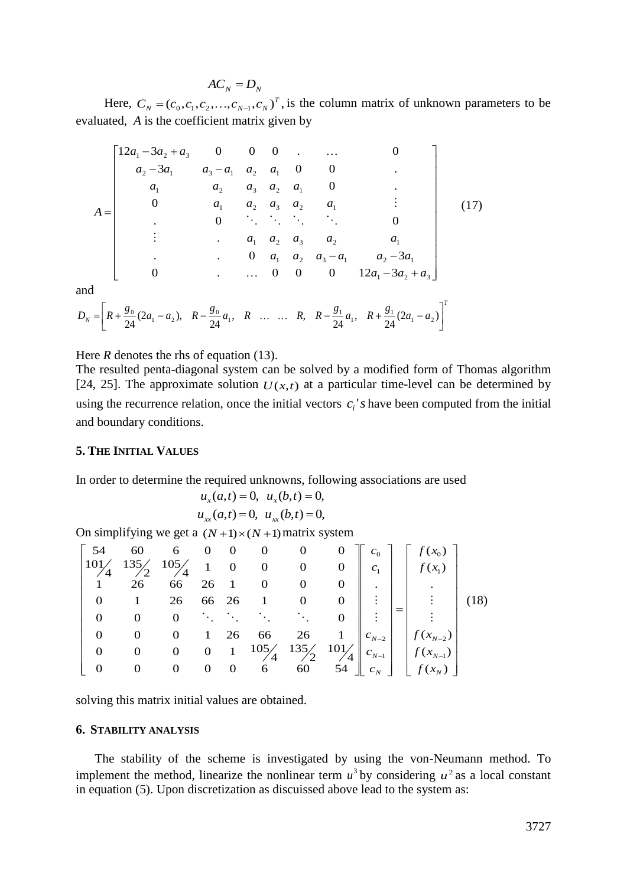$$
AC_{N} = D_{N}
$$

Here,  $C_N = (c_0, c_1, c_2, \dots, c_{N-1}, c_N)^T$ , is the column matrix of unknown parameters to be evaluated, *A* is the coefficient matrix given by

$$
A = \begin{bmatrix} 12a_1 - 3a_2 + a_3 & 0 & 0 & 0 & \dots & 0 \\ a_2 - 3a_1 & a_3 - a_1 & a_2 & a_1 & 0 & 0 & \vdots \\ a_1 & a_2 & a_3 & a_2 & a_1 & 0 & \vdots \\ 0 & a_1 & a_2 & a_3 & a_2 & a_1 & \vdots \\ \vdots & \vdots & \vdots & \vdots & \ddots & \ddots & \vdots & 0 \\ a_1 & a_2 & a_3 & a_2 & a_1 & \vdots \\ \vdots & \vdots & \vdots & \vdots & \vdots & \vdots & \vdots \\ a_1 & a_2 & a_3 & a_2 & a_1 & \vdots \\ 0 & \vdots & \vdots & \vdots & \vdots & \vdots \\ 0 & \vdots & \vdots & \vdots & \vdots & \vdots \\ 0 & \vdots & \vdots & \vdots & \vdots & \vdots \\ 0 & \vdots & \vdots & \vdots & \vdots & \vdots \\ 0 & \vdots & \vdots & \vdots & \vdots & \vdots \\ 0 & \vdots & \vdots & \vdots & \vdots & \vdots \\ 0 & \vdots & \vdots & \vdots & \vdots & \vdots \\ 0 & \vdots & \vdots & \vdots & \vdots & \vdots \\ 0 & \vdots & \vdots & \vdots & \vdots & \vdots \\ 0 & \vdots & \vdots & \vdots & \vdots & \vdots \\ 0 & \vdots & \vdots & \vdots & \vdots & \vdots \\ 0 & \vdots & \vdots & \vdots & \vdots & \vdots \\ 0 & \vdots & \vdots & \vdots & \vdots & \vdots \\ 0 & \vdots & \vdots & \vdots & \vdots & \vdots \\ 0 & \vdots & \vdots & \vdots & \vdots & \vdots \\ 0 & \vdots & \vdots & \vdots & \vdots & \vdots \\ 0 & \vdots & \vdots & \vdots & \vdots & \vdots \\ 0 & \vdots & \vdots & \vdots & \vdots & \vdots \\ 0 & \vdots & \vdots & \vdots & \vdots & \vdots \\ 0 & \vdots & \vdots & \vdots & \vdots & \vdots \\ 0 & \vdots & \vdots & \vdots & \vdots & \vdots \\ 0 & \vdots & \vdots & \vdots & \vdots & \vdots \\ 0 & \vdots & \vdots & \vdots & \
$$

and

$$
D_N = \left[ R + \frac{g_0}{24} (2a_1 - a_2), \quad R - \frac{g_0}{24} a_1, \quad R \quad \dots \quad \dots \quad R, \quad R - \frac{g_1}{24} a_1, \quad R + \frac{g_1}{24} (2a_1 - a_2) \right]^T
$$

Here *R* denotes the rhs of equation (13).

The resulted penta-diagonal system can be solved by a modified form of Thomas algorithm [24, 25]. The approximate solution  $U(x,t)$  at a particular time-level can be determined by using the recurrence relation, once the initial vectors  $c_i$ 's have been computed from the initial and boundary conditions.

## **5. THE INITIAL VALUES**

In order to determine the required unknowns, following associations are used

$$
u_x(a,t) = 0
$$
,  $u_x(b,t) = 0$ ,  
 $u_{xx}(a,t) = 0$ ,  $u_{xx}(b,t) = 0$ ,

On simplifying we get a  $(N+1)\times(N+1)$  matrix system

|              |                         |  |  |  |  | $\begin{bmatrix} 54 & 60 & 6 & 0 & 0 & 0 & 0 & 0 \\ 101/4 & 135/2 & 105/4 & 1 & 0 & 0 & 0 & 0 \\ 1 & 26 & 66 & 26 & 1 & 0 & 0 & 0 \\ 0 & 0 & 0 & 0 & 0 & 0 & 0 \\ 0 & 0 & 0 & 0 & 0 & 0 \end{bmatrix} \begin{bmatrix} c_0 \\ c_1 \\ c_1 \\ c_1 \\ c_2 \end{bmatrix} \begin{bmatrix} f(x_0) \\ f(x_1) \\ f(x_2) \\ f(x_3) \end{bmatrix}$ |  |
|--------------|-------------------------|--|--|--|--|-----------------------------------------------------------------------------------------------------------------------------------------------------------------------------------------------------------------------------------------------------------------------------------------------------------------------------------------|--|
|              |                         |  |  |  |  |                                                                                                                                                                                                                                                                                                                                         |  |
|              | $0 \qquad 1$            |  |  |  |  |                                                                                                                                                                                                                                                                                                                                         |  |
|              |                         |  |  |  |  |                                                                                                                                                                                                                                                                                                                                         |  |
| $\mathbf{0}$ | $\overline{\mathbf{0}}$ |  |  |  |  |                                                                                                                                                                                                                                                                                                                                         |  |
|              | $0 \qquad 0$            |  |  |  |  |                                                                                                                                                                                                                                                                                                                                         |  |
|              |                         |  |  |  |  | $\begin{bmatrix} 4 & 26 & 1 & 0 & 0 & 0 \\ 66 & 26 & 1 & 0 & 0 & 0 \\ 0 & \ddots & \ddots & \ddots & \ddots & 0 \\ 0 & 1 & 26 & 66 & 26 & 1 \\ 0 & 0 & 1 & 105/4 & 135/2 & 101/4 \\ 0 & 0 & 0 & 6 & 60 & 54 \end{bmatrix}$ $\begin{bmatrix} 1 \\ 2 \\ 3 \\ 4 \\ 6 \\ 6 \\ f(x_{N-1}) \\ f(x_{N-1}) \\ f(x_{N}) \end{bmatrix}$           |  |

solving this matrix initial values are obtained.

## **6. STABILITY ANALYSIS**

 The stability of the scheme is investigated by using the von-Neumann method. To implement the method, linearize the nonlinear term  $u^3$  by considering  $u^2$  as a local constant in equation (5). Upon discretization as discuissed above lead to the system as: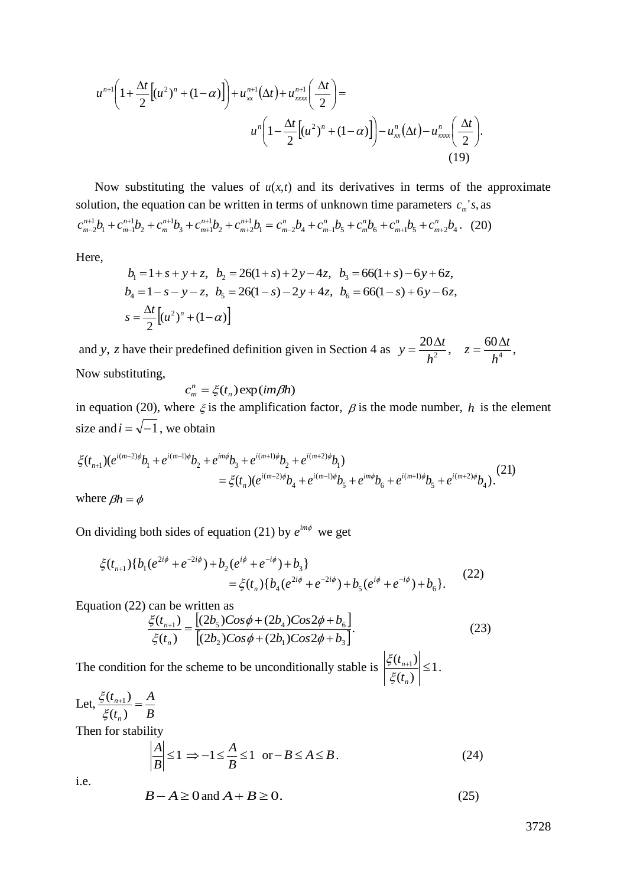$$
u^{n+1}\left(1+\frac{\Delta t}{2}\left[(u^2)^n+(1-\alpha)\right]\right)+u_{xx}^{n+1}(\Delta t)+u_{xxxx}^{n+1}\left(\frac{\Delta t}{2}\right)=
$$

$$
u^n\left(1-\frac{\Delta t}{2}\left[(u^2)^n+(1-\alpha)\right]\right)-u_{xx}^n(\Delta t)-u_{xxxx}^n\left(\frac{\Delta t}{2}\right).
$$
(19)

Now substituting the values of  $u(x,t)$  and its derivatives in terms of the approximate solution, the equation can be written in terms of unknown time parameters  $c_m$ 's, as  $b_1 = c_{m-2}^n b_4 + c_{m-1}^n b_5 + c_m^n b_6 + c_{m+1}^n b_5 + c_{m+2}^n b_4$ . 1  $2$ <sup>- $\mathbf{c}_{m+2}$ </sup> 1  $3 \perp c_{m+1}$ 1 2 1  $\tau_1$  +  $\epsilon_{m-1}$ 1  $c_{m-2}^{n+1}b_1 + c_{m-1}^{n+1}b_2 + c_m^{n+1}b_3 + c_{m+1}^{n+1}b_2 + c_{m+2}^{n+1}b_1 = c_{m-2}^n b_4 + c_{m-1}^n b_5 + c_m^n b_6 + c_{m+1}^n b_5 + c_{m+2}^n b_5$ *m n m n m n m n m n m n m n m n m n*  $m_1v_2v_1 + c_{m-1}v_2 + c_m$   $v_3 + c_{m+1}v_2 + c_{m+2}v_1 - c_{m-2}v_4 + c_{m-1}v_5 + c_m$  $^{+}$  $^{+}$  $^{+}$  $^{+}$  $n+1$   $\mathbf{L}$   $\mathbf{L}$   $\mathbf{L}$   $\mathbf{L}$  $c_{n-2}^{n+1}b_1 + c_{m-1}^{n+1}b_2 + c_m^{n+1}b_3 + c_{m+1}^{n+1}b_2 + c_{m+2}^{n+1}b_1 = c_{m-2}^n b_4 + c_{m-1}^n b_5 + c_m^n b_6 + c_{m+1}^n b_5 + c_{m+2}^n b_4.$  (20)

Here,

$$
b_1 = 1 + s + y + z, \quad b_2 = 26(1 + s) + 2y - 4z, \quad b_3 = 66(1 + s) - 6y + 6z,
$$
  
\n
$$
b_4 = 1 - s - y - z, \quad b_5 = 26(1 - s) - 2y + 4z, \quad b_6 = 66(1 - s) + 6y - 6z,
$$
  
\n
$$
s = \frac{\Delta t}{2} \Big[ (u^2)^n + (1 - \alpha) \Big]
$$

and y, *z* have their predefined definition given in Section 4 as  $y = \frac{20\Delta t}{l^2}$ ,  $z = \frac{60\Delta t}{l^4}$ , 2<sup>2</sup>,  $\lambda$ <sup>4</sup>  $z = \frac{60\Delta t}{4}$ *h*  $y = \frac{20\Delta t}{l^2}, \quad z = \frac{60\Delta t}{l^4}$ Now substituting,

$$
c_m^n = \xi(t_n) \exp(im\beta h)
$$

in equation (20), where  $\xi$  is the amplification factor,  $\beta$  is the mode number, h is the element size and  $i = \sqrt{-1}$ , we obtain

$$
\xi(t_{n+1})(e^{i(m-2)\phi}b_1 + e^{i(m-1)\phi}b_2 + e^{im\phi}b_3 + e^{i(m+1)\phi}b_2 + e^{i(m+2)\phi}b_1)
$$
  
=  $\xi(t_n)(e^{i(m-2)\phi}b_4 + e^{i(m-1)\phi}b_5 + e^{im\phi}b_6 + e^{i(m+1)\phi}b_5 + e^{i(m+2)\phi}b_4).$  (21)

where  $\beta h = \phi$ 

On dividing both sides of equation (21) by  $e^{im\phi}$  we get

$$
\begin{aligned} \xi(t_{n+1}) \{b_1(e^{2i\phi} + e^{-2i\phi}) + b_2(e^{i\phi} + e^{-i\phi}) + b_3\} \\ &= \xi(t_n) \{b_4(e^{2i\phi} + e^{-2i\phi}) + b_5(e^{i\phi} + e^{-i\phi}) + b_6\}. \end{aligned} \tag{22}
$$

Equation (22) can be written as

$$
\frac{\xi(t_{n+1})}{\xi(t_n)} = \frac{[(2b_5)Cos\phi + (2b_4)Cos2\phi + b_6]}{[(2b_2)Cos\phi + (2b_1)Cos2\phi + b_3]}.
$$
\n(23)

The condition for the scheme to be unconditionally stable is  $\left|\frac{\xi V_{n+1}}{\xi \xi}\right| \leq 1$  $(t_n)$  $\left| \frac{(t_{n+1})}{(t_{n+1})} \right| \leq$ *n n t t* ξ  $\frac{\xi(t_{n+1})}{\xi(t_{n+1})} \leq 1$ .

Let, 
$$
\frac{\xi(t_{n+1})}{\xi(t_n)} = \frac{A}{B}
$$
  
\nThen for stability  
\n
$$
\left| \frac{A}{B} \right| \le 1 \implies -1 \le \frac{A}{B} \le 1 \text{ or } -B \le A \le B.
$$
\n(24)

i.e.

$$
B - A \ge 0 \text{ and } A + B \ge 0. \tag{25}
$$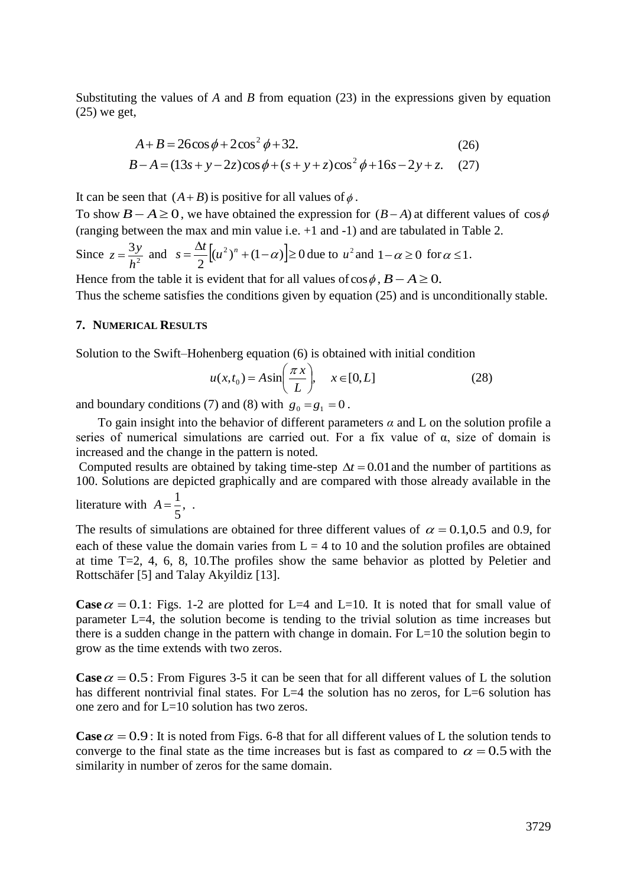Substituting the values of *A* and *B* from equation (23) in the expressions given by equation (25) we get,

$$
A+B = 26\cos\phi + 2\cos^2\phi + 32.
$$
 (26)  

$$
B-A = (13s + y - 2z)\cos\phi + (s + y + z)\cos^2\phi + 16s - 2y + z.
$$
 (27)

It can be seen that  $(A + B)$  is positive for all values of  $\phi$ .

To show  $B - A \ge 0$ , we have obtained the expression for  $(B - A)$  at different values of  $\cos \phi$ (ranging between the max and min value i.e. +1 and -1) and are tabulated in Table 2.

Since  $z = \frac{3y}{h^2}$ 3 *h*  $z = \frac{3y}{l^2}$  and  $s = \frac{\Delta t}{2} [(u^2)^n + (1-\alpha)] \ge 0$ 2  $s = \frac{\Delta t}{2} \left[ (u^2)^n + (1 - \alpha) \right] \ge 0$  due to  $u^2$  and  $1 - \alpha \ge 0$  for  $\alpha \le 1$ . Hence from the table it is evident that for all values of  $\cos \phi$ ,  $B - A \ge 0$ .

Thus the scheme satisfies the conditions given by equation (25) and is unconditionally stable.

### **7. NUMERICAL RESULTS**

Solution to the Swift–Hohenberg equation (6) is obtained with initial condition

$$
u(x,t_0) = A\sin\left(\frac{\pi x}{L}\right), \quad x \in [0,L]
$$
 (28)

and boundary conditions (7) and (8) with  $g_0 = g_1 = 0$ .

 To gain insight into the behavior of different parameters *α* and L on the solution profile a series of numerical simulations are carried out. For a fix value of  $\alpha$ , size of domain is increased and the change in the pattern is noted.

Computed results are obtained by taking time-step  $\Delta t = 0.01$  and the number of partitions as 100. Solutions are depicted graphically and are compared with those already available in the literature with  $A = \frac{1}{2}$ , 5  $A = \frac{1}{2},$ .

The results of simulations are obtained for three different values of  $\alpha = 0.1,0.5$  and 0.9, for each of these value the domain varies from  $L = 4$  to 10 and the solution profiles are obtained at time T=2, 4, 6, 8, 10.The profiles show the same behavior as plotted by Peletier and Rottschäfer [5] and Talay Akyildiz [13].

**Case**  $\alpha = 0.1$ : Figs. 1-2 are plotted for L=4 and L=10. It is noted that for small value of parameter L=4, the solution become is tending to the trivial solution as time increases but there is a sudden change in the pattern with change in domain. For  $L=10$  the solution begin to grow as the time extends with two zeros.

**Case**  $\alpha = 0.5$ : From Figures 3-5 it can be seen that for all different values of L the solution has different nontrivial final states. For L=4 the solution has no zeros, for L=6 solution has one zero and for L=10 solution has two zeros.

**Case**  $\alpha = 0.9$ : It is noted from Figs. 6-8 that for all different values of L the solution tends to converge to the final state as the time increases but is fast as compared to  $\alpha = 0.5$  with the similarity in number of zeros for the same domain.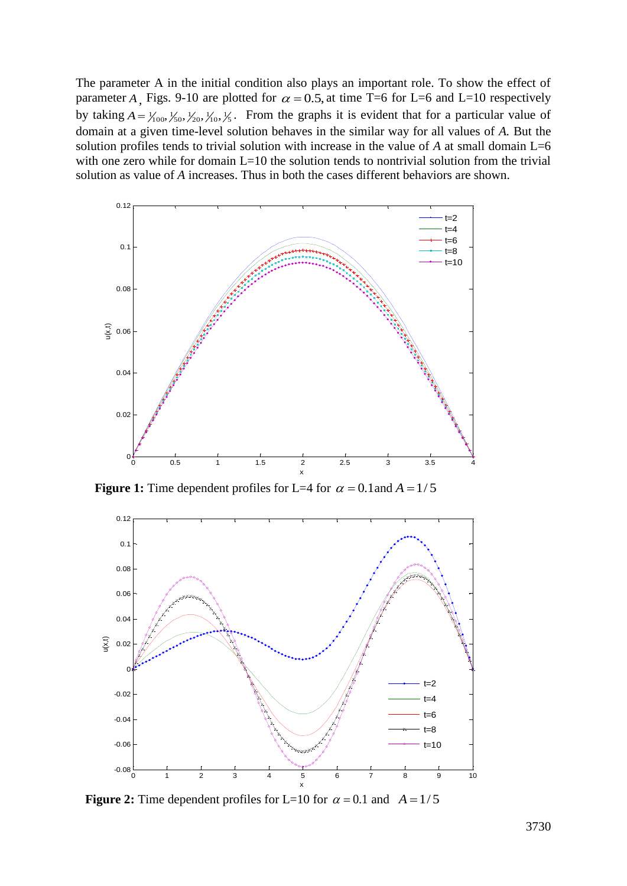The parameter A in the initial condition also plays an important role. To show the effect of parameter A, Figs. 9-10 are plotted for  $\alpha = 0.5$ , at time T=6 for L=6 and L=10 respectively by taking  $A = \frac{1}{100}$ ,  $\frac{1}{50}$ ,  $\frac{1}{10}$ ,  $\frac{1}{5}$ . From the graphs it is evident that for a particular value of domain at a given time-level solution behaves in the similar way for all values of *A.* But the solution profiles tends to trivial solution with increase in the value of *A* at small domain L=6 with one zero while for domain  $L=10$  the solution tends to nontrivial solution from the trivial solution as value of *A* increases. Thus in both the cases different behaviors are shown.



**Figure 1:** Time dependent profiles for L=4 for  $\alpha = 0.1$  and  $A = 1/5$ 



**Figure 2:** Time dependent profiles for L=10 for  $\alpha = 0.1$  and  $A = 1/5$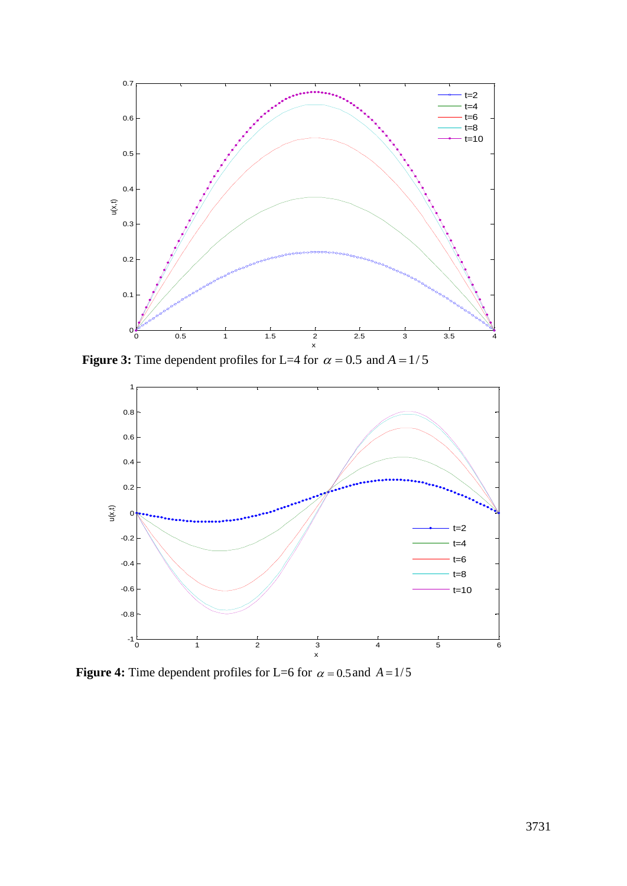

**Figure 3:** Time dependent profiles for L=4 for  $\alpha = 0.5$  and  $A = 1/5$ 



**Figure 4:** Time dependent profiles for L=6 for  $\alpha = 0.5$  and  $A = 1/5$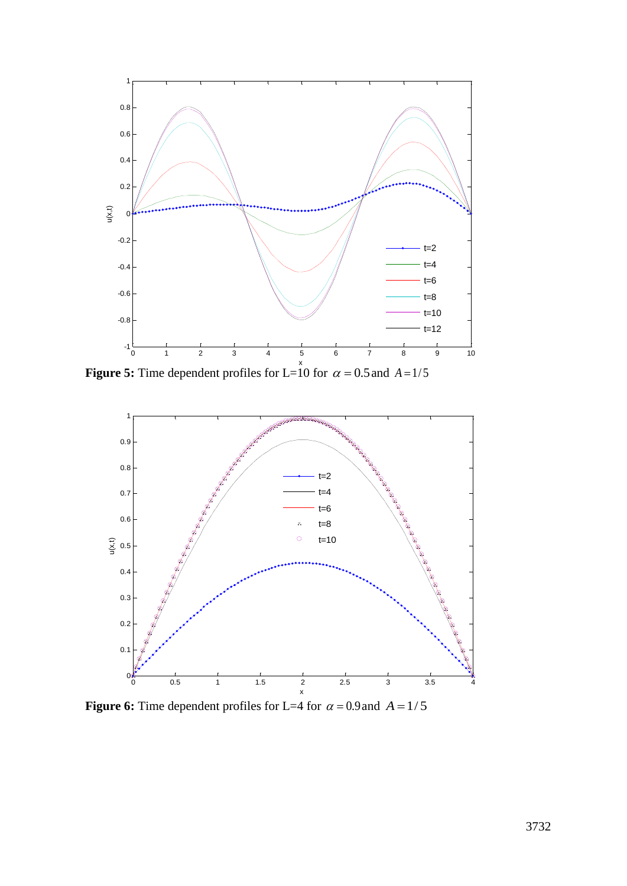

**Figure 5:** Time dependent profiles for L=10 for  $\alpha = 0.5$  and  $A = 1/5$ 



**Figure 6:** Time dependent profiles for L=4 for  $\alpha = 0.9$  and  $A = 1/5$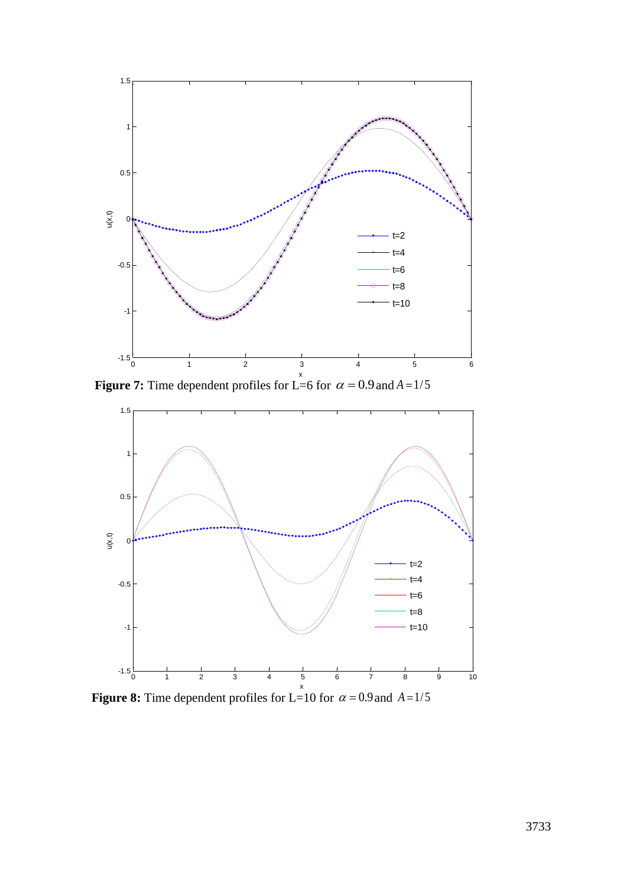

**Figure 7:** Time dependent profiles for L=6 for  $\alpha = 0.9$  and  $A = 1/5$ 



**Figure 8:** Time dependent profiles for L=10 for  $\alpha = 0.9$  and  $A = 1/5$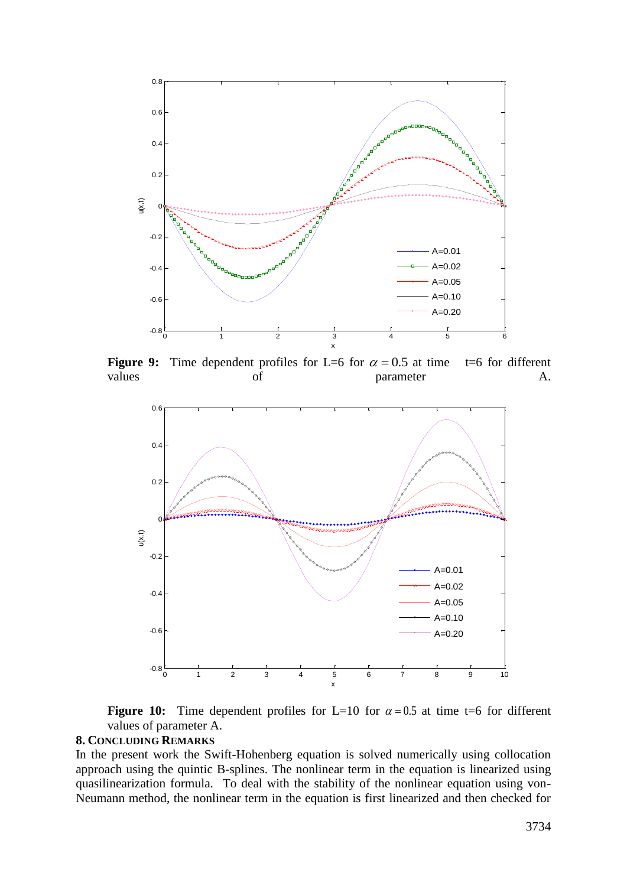

**Figure 9:** Time dependent profiles for L=6 for  $\alpha = 0.5$  $t=6$  for different values of parameter A.



**Figure 10:** Time dependent profiles for L=10 for  $\alpha = 0.5$  at time t=6 for different values of parameter A.

## **8. CONCLUDING REMARKS**

In the present work the Swift-Hohenberg equation is solved numerically using collocation approach using the quintic B-splines. The nonlinear term in the equation is linearized using quasilinearization formula. To deal with the stability of the nonlinear equation using von-Neumann method, the nonlinear term in the equation is first linearized and then checked for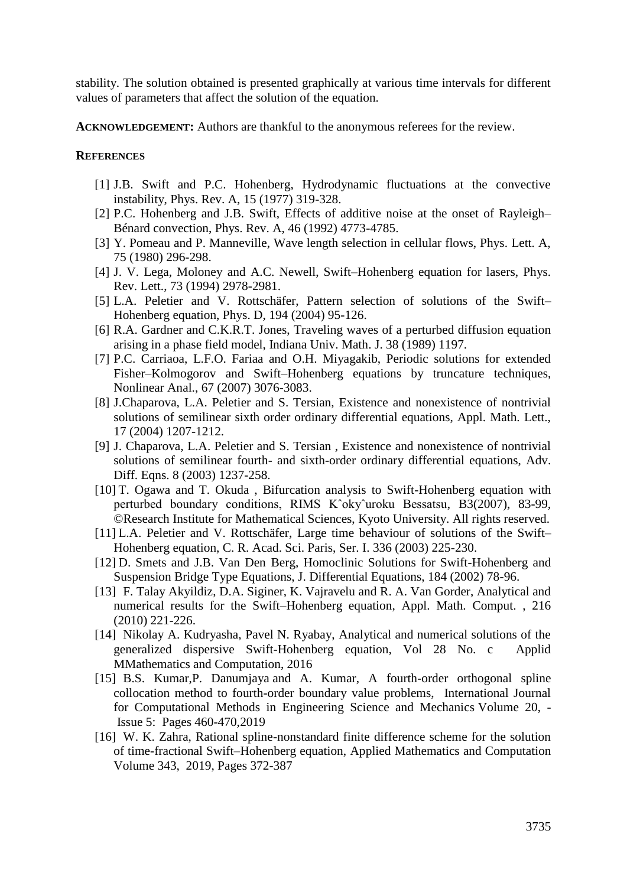stability. The solution obtained is presented graphically at various time intervals for different values of parameters that affect the solution of the equation.

**ACKNOWLEDGEMENT:** Authors are thankful to the anonymous referees for the review.

## **REFERENCES**

- [1] J.B. Swift and P.C. Hohenberg, Hydrodynamic fluctuations at the convective instability, Phys. Rev. A, 15 (1977) 319-328.
- [2] P.C. Hohenberg and J.B. Swift, Effects of additive noise at the onset of Rayleigh– Bénard convection, Phys. Rev. A, 46 (1992) 4773-4785.
- [3] Y. Pomeau and P. Manneville, Wave length selection in cellular flows, Phys. Lett. A, 75 (1980) 296-298.
- [4] J. V. Lega, Moloney and A.C. Newell, Swift–Hohenberg equation for lasers, Phys. Rev. Lett., 73 (1994) 2978-2981.
- [5] L.A. Peletier and V. Rottschäfer, Pattern selection of solutions of the Swift– Hohenberg equation, Phys. D, 194 (2004) 95-126.
- [6] R.A. Gardner and C.K.R.T. Jones, Traveling waves of a perturbed diffusion equation arising in a phase field model, Indiana Univ. Math. J. 38 (1989) 1197.
- [7] P.C. Carriaoa, L.F.O. Fariaa and O.H. Miyagakib, Periodic solutions for extended Fisher–Kolmogorov and Swift–Hohenberg equations by truncature techniques, Nonlinear Anal., 67 (2007) 3076-3083.
- [8] J.Chaparova, L.A. Peletier and S. Tersian, Existence and nonexistence of nontrivial solutions of semilinear sixth order ordinary differential equations, Appl. Math. Lett., 17 (2004) 1207-1212.
- [9] J. Chaparova, L.A. Peletier and S. Tersian , Existence and nonexistence of nontrivial solutions of semilinear fourth- and sixth-order ordinary differential equations, Adv. Diff. Eqns. 8 (2003) 1237-258.
- [10] T. Ogawa and T. Okuda , Bifurcation analysis to Swift-Hohenberg equation with perturbed boundary conditions, RIMS Kˆokyˆuroku Bessatsu, B3(2007), 83-99*,* ©Research Institute for Mathematical Sciences, Kyoto University. All rights reserved.
- [11] L.A. Peletier and V. Rottschäfer, Large time behaviour of solutions of the Swift– Hohenberg equation, C. R. Acad. Sci. Paris, Ser. I. 336 (2003) 225-230.
- [12] D. Smets and J.B. Van Den Berg, Homoclinic Solutions for Swift-Hohenberg and Suspension Bridge Type Equations, J. Differential Equations, 184 (2002) 78-96.
- [13] F. Talay Akyildiz, D.A. Siginer, K. Vajravelu and R. A. Van Gorder, Analytical and numerical results for the Swift–Hohenberg equation, Appl. Math. Comput. , 216 (2010) 221-226.
- [14] Nikolay A. Kudryasha, Pavel N. Ryabay, Analytical and numerical solutions of the generalized dispersive Swift-Hohenberg equation, Vol 28 No. c Applid MMathematics and Computation, 2016
- [15] [B.S. Kumar,](https://www.tandfonline.com/author/Kumar%2C+Bhal+Santosh) [P. Danumjaya](https://www.tandfonline.com/author/Danumjaya%2C+P) and [A. Kumar,](https://www.tandfonline.com/author/Kumar%2C+Anil) A fourth-order orthogonal spline collocation method to fourth-order boundary value problems, International Journal for Computational Methods in Engineering Science and Mechanics Volume 20, - Issue [5:](https://www.tandfonline.com/toc/ucme20/20/5) Pages 460-470,2019
- [16] W. K. Zahra, Rational spline-nonstandard finite difference scheme for the solution of time-fractional Swift–Hohenberg equation, [Applied Mathematics and Computation](https://www.sciencedirect.com/science/journal/00963003) [Volume 343,](https://www.sciencedirect.com/science/journal/00963003/343/supp/C) 2019, Pages 372-387